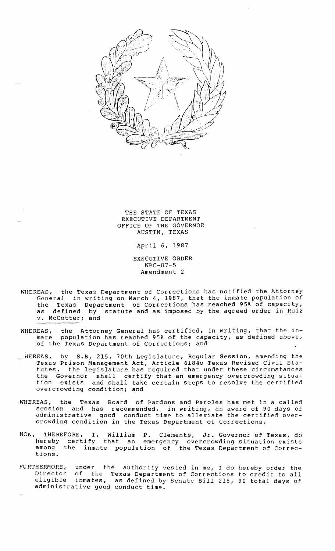

THE STATE OF TEXAS EXECUTIVE DEPARTMENT OFFICE OF THE GOVERNOR AUSTIN, TEXAS

April 6, 1987

EXECUTIVE ORDER WPC-87-5 Amendment 2

- WHEREAS, the Texas Department of Corrections has notified the Attorney General in writing on March 4, *1987,* that the inmate population of the Texas Department of Corrections has reached 95% of capacity, as defined by statute and as imposed by the agreed order in Ruiz v. McCotter; and
- WHEREAS, the Attorney General has certified, in writing, that the inmate population has reached 95% of the capacity, as defined above, of the Texas Department of Corrections; and
- $\stackrel{\cdot}{\text{HEREAS}}$ , by S.B. 215, 70th Legislature, Regular Session, amending the Texas Prison Management Act, Article *61840* Texas Revised Civil Statutes, the legislature has required that under these circumstances the Governor shall certify that an emergency overcrowding situation exists and shall take certain steps to resolve the certified overcrowding condition; and
- WHEREAS, the Texas Board of Pardons and Paroles has met in a called session and has recommended, in writing, an award of 90 days of administrative good conduct time to alleviate the certified overcrowding condition in the Texas Department of Corrections.
- NOW, THEREFORE, I, William P. Clements, Jr. Governor of Texas, do hereby certify that an emergency overcrowding situation exists among the inmate population of the Texas Department of Corrections.
- FURTHERMORE, under the authority vested in me, I do hereby order the<br>Director of the Texas Department of Corrections to credit to all Director of the Texas Department of Corrections to credit to all eligible inmates, as defined by Senate Bill 215, 90 total days of eligible inmates, as defined by<br>administrative good conduct time.